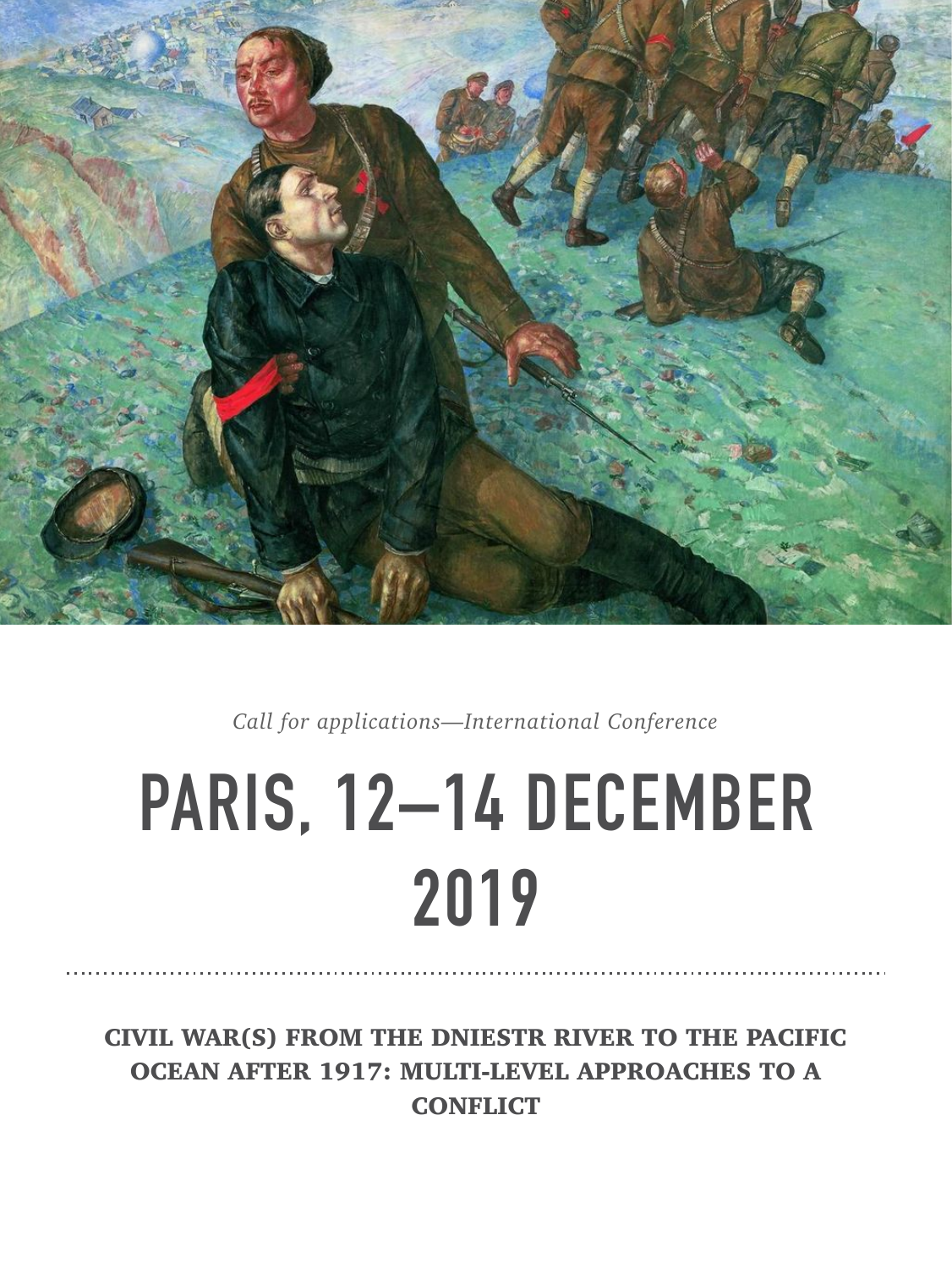

*Call for applications—International Conference* 

# **PARIS, 12–14 DECEMBER 2019**

CIVIL WAR(S) FROM THE DNIESTR RIVER TO THE PACIFIC OCEAN AFTER 1917: MULTI-LEVEL APPROACHES TO A **CONFLICT**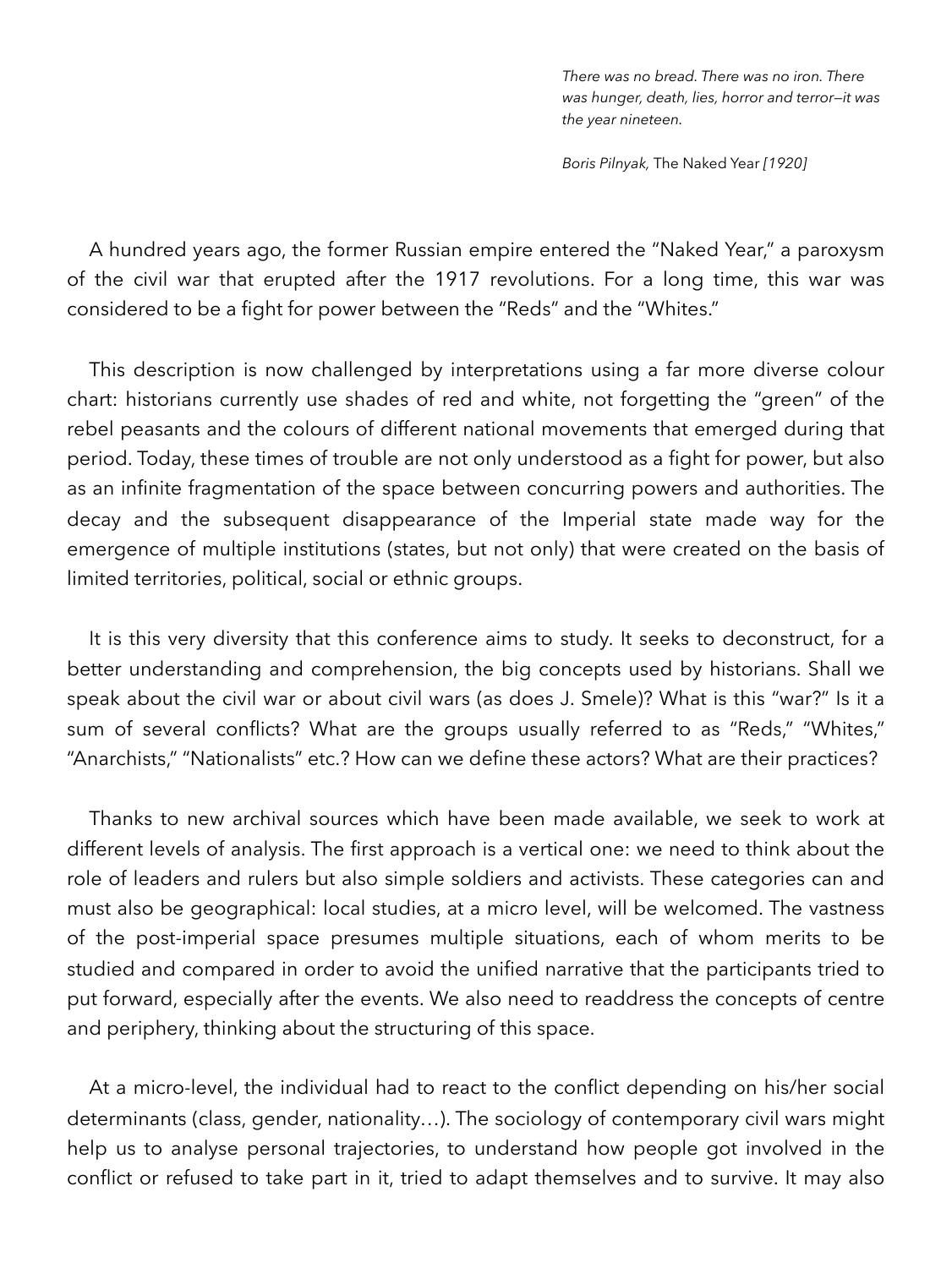*There was no bread. There was no iron. There was hunger, death, lies, horror and terror—it was the year nineteen.* 

*Boris Pilnyak,* The Naked Year *[1920]* 

A hundred years ago, the former Russian empire entered the "Naked Year," a paroxysm of the civil war that erupted after the 1917 revolutions. For a long time, this war was considered to be a fight for power between the "Reds" and the "Whites."

This description is now challenged by interpretations using a far more diverse colour chart: historians currently use shades of red and white, not forgetting the "green" of the rebel peasants and the colours of different national movements that emerged during that period. Today, these times of trouble are not only understood as a fight for power, but also as an infinite fragmentation of the space between concurring powers and authorities. The decay and the subsequent disappearance of the Imperial state made way for the emergence of multiple institutions (states, but not only) that were created on the basis of limited territories, political, social or ethnic groups.

It is this very diversity that this conference aims to study. It seeks to deconstruct, for a better understanding and comprehension, the big concepts used by historians. Shall we speak about the civil war or about civil wars (as does J. Smele)? What is this "war?" Is it a sum of several conflicts? What are the groups usually referred to as "Reds," "Whites," "Anarchists," "Nationalists" etc.? How can we define these actors? What are their practices?

Thanks to new archival sources which have been made available, we seek to work at different levels of analysis. The first approach is a vertical one: we need to think about the role of leaders and rulers but also simple soldiers and activists. These categories can and must also be geographical: local studies, at a micro level, will be welcomed. The vastness of the post-imperial space presumes multiple situations, each of whom merits to be studied and compared in order to avoid the unified narrative that the participants tried to put forward, especially after the events. We also need to readdress the concepts of centre and periphery, thinking about the structuring of this space.

At a micro-level, the individual had to react to the conflict depending on his/her social determinants (class, gender, nationality…). The sociology of contemporary civil wars might help us to analyse personal trajectories, to understand how people got involved in the conflict or refused to take part in it, tried to adapt themselves and to survive. It may also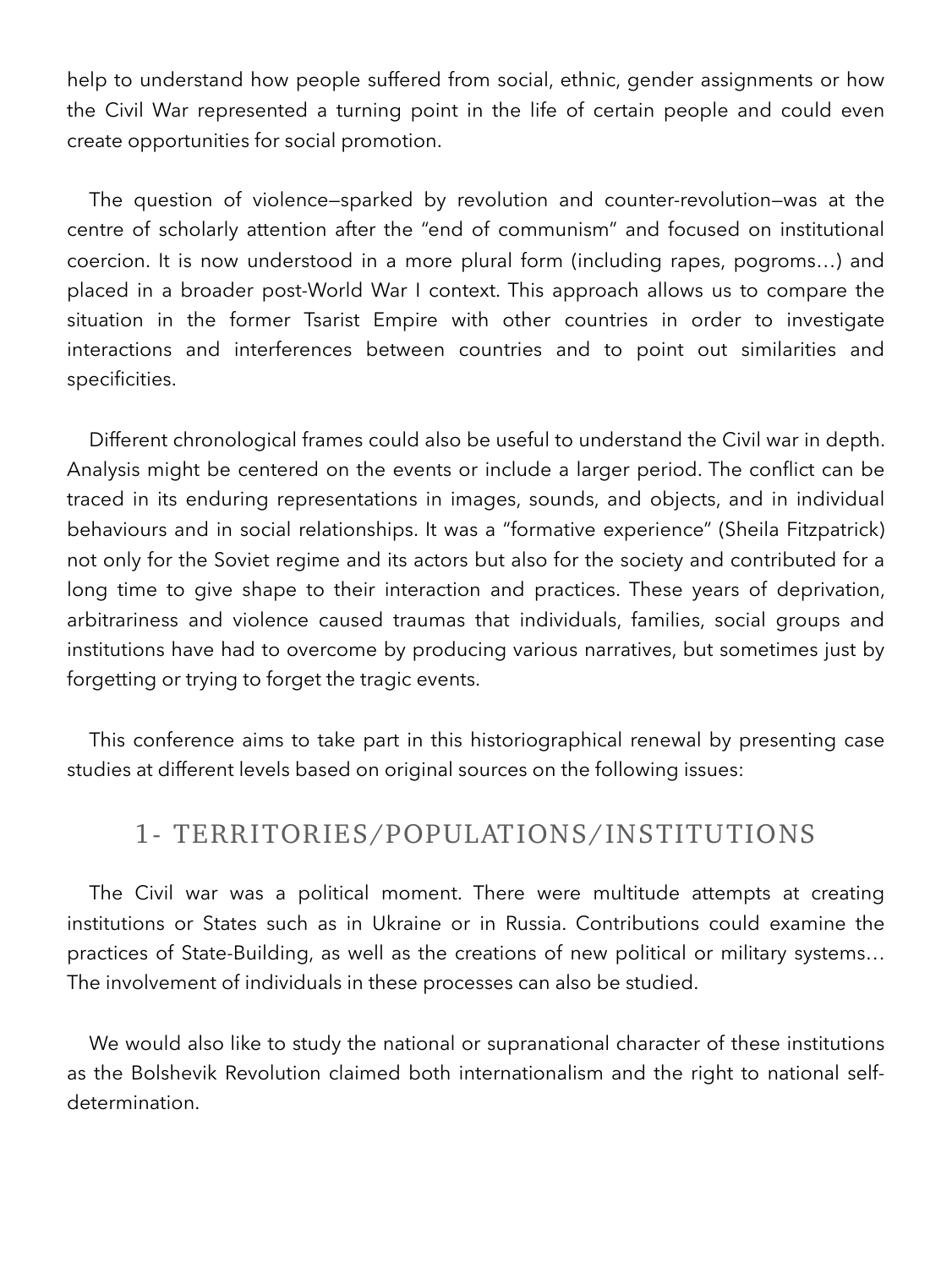help to understand how people suffered from social, ethnic, gender assignments or how the Civil War represented a turning point in the life of certain people and could even create opportunities for social promotion.

The question of violence—sparked by revolution and counter-revolution—was at the centre of scholarly attention after the "end of communism" and focused on institutional coercion. It is now understood in a more plural form (including rapes, pogroms…) and placed in a broader post-World War I context. This approach allows us to compare the situation in the former Tsarist Empire with other countries in order to investigate interactions and interferences between countries and to point out similarities and specificities.

Different chronological frames could also be useful to understand the Civil war in depth. Analysis might be centered on the events or include a larger period. The conflict can be traced in its enduring representations in images, sounds, and objects, and in individual behaviours and in social relationships. It was a "formative experience" (Sheila Fitzpatrick) not only for the Soviet regime and its actors but also for the society and contributed for a long time to give shape to their interaction and practices. These years of deprivation, arbitrariness and violence caused traumas that individuals, families, social groups and institutions have had to overcome by producing various narratives, but sometimes just by forgetting or trying to forget the tragic events.

This conference aims to take part in this historiographical renewal by presenting case studies at different levels based on original sources on the following issues:

#### 1- TERRITORIES/POPULATIONS/INSTITUTIONS

The Civil war was a political moment. There were multitude attempts at creating institutions or States such as in Ukraine or in Russia. Contributions could examine the practices of State-Building, as well as the creations of new political or military systems… The involvement of individuals in these processes can also be studied.

We would also like to study the national or supranational character of these institutions as the Bolshevik Revolution claimed both internationalism and the right to national selfdetermination.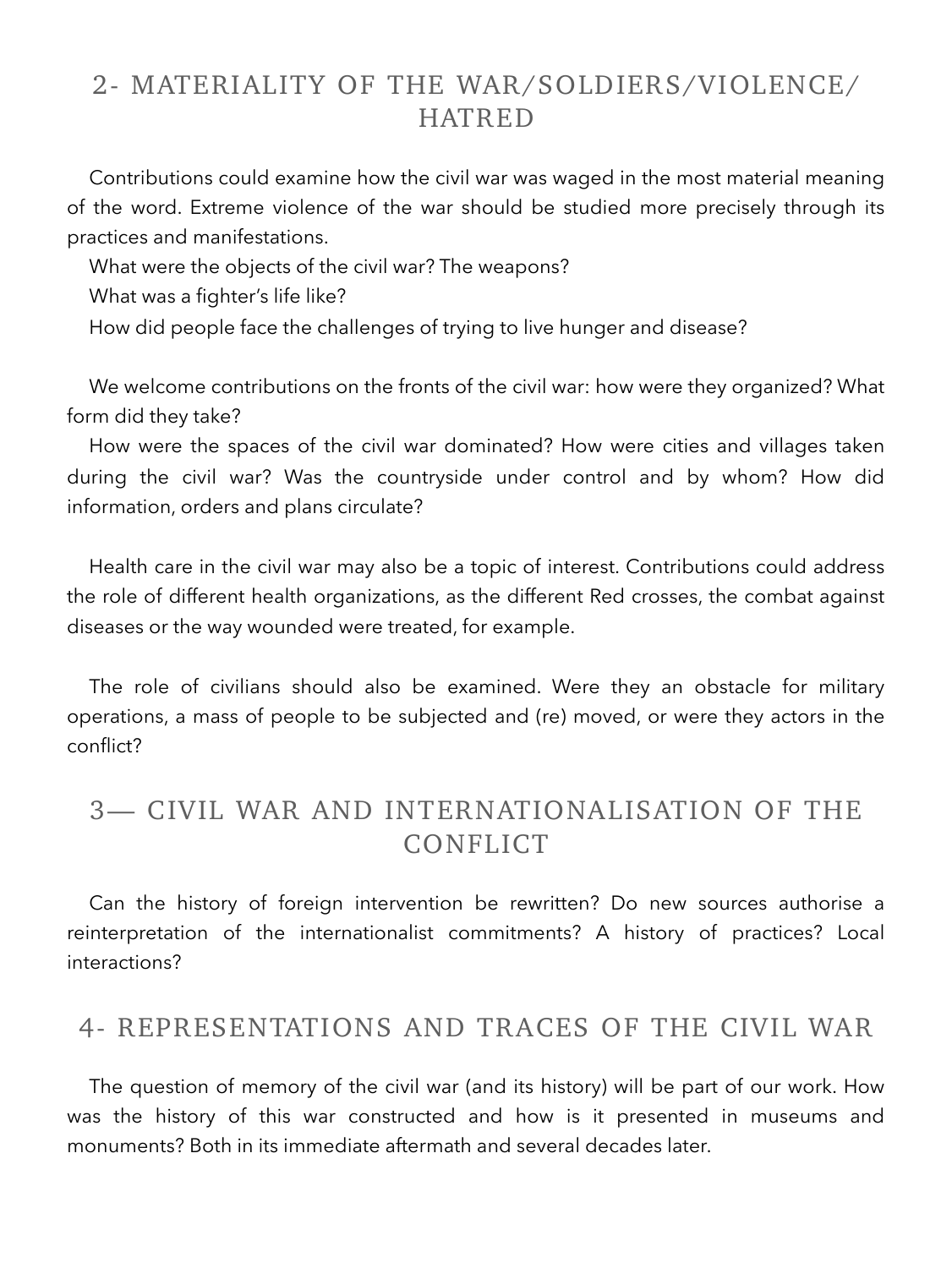### 2- MATERIALITY OF THE WAR/SOLDIERS/VIOLENCE/ HATRED

Contributions could examine how the civil war was waged in the most material meaning of the word. Extreme violence of the war should be studied more precisely through its practices and manifestations.

What were the objects of the civil war? The weapons?

What was a fighter's life like?

How did people face the challenges of trying to live hunger and disease?

We welcome contributions on the fronts of the civil war: how were they organized? What form did they take?

How were the spaces of the civil war dominated? How were cities and villages taken during the civil war? Was the countryside under control and by whom? How did information, orders and plans circulate?

Health care in the civil war may also be a topic of interest. Contributions could address the role of different health organizations, as the different Red crosses, the combat against diseases or the way wounded were treated, for example.

The role of civilians should also be examined. Were they an obstacle for military operations, a mass of people to be subjected and (re) moved, or were they actors in the conflict?

## 3— CIVIL WAR AND INTERNATIONALISATION OF THE CONFLICT

Can the history of foreign intervention be rewritten? Do new sources authorise a reinterpretation of the internationalist commitments? A history of practices? Local interactions?

#### 4- REPRESENTATIONS AND TRACES OF THE CIVIL WAR

The question of memory of the civil war (and its history) will be part of our work. How was the history of this war constructed and how is it presented in museums and monuments? Both in its immediate aftermath and several decades later.